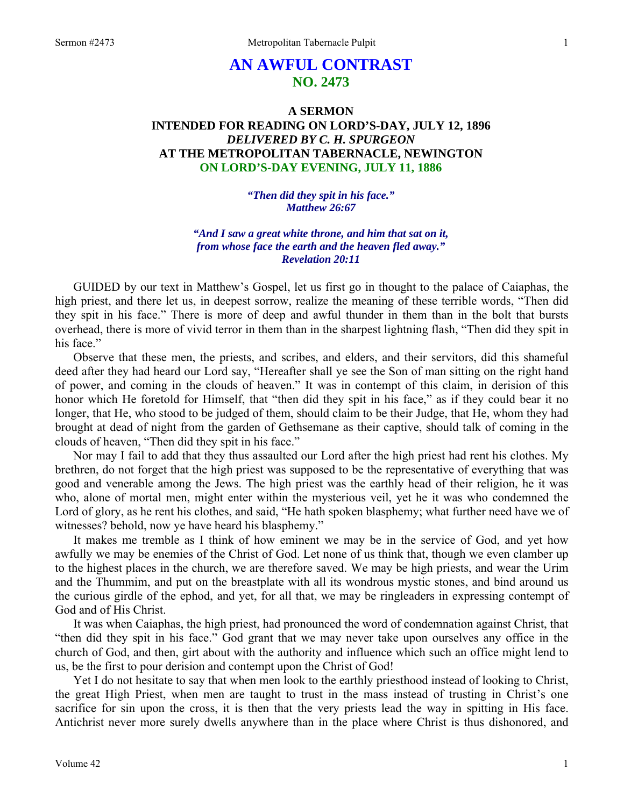# **AN AWFUL CONTRAST NO. 2473**

# **A SERMON INTENDED FOR READING ON LORD'S-DAY, JULY 12, 1896**  *DELIVERED BY C. H. SPURGEON*  **AT THE METROPOLITAN TABERNACLE, NEWINGTON ON LORD'S-DAY EVENING, JULY 11, 1886**

*"Then did they spit in his face." Matthew 26:67* 

*"And I saw a great white throne, and him that sat on it, from whose face the earth and the heaven fled away." Revelation 20:11* 

GUIDED by our text in Matthew's Gospel, let us first go in thought to the palace of Caiaphas, the high priest, and there let us, in deepest sorrow, realize the meaning of these terrible words, "Then did they spit in his face." There is more of deep and awful thunder in them than in the bolt that bursts overhead, there is more of vivid terror in them than in the sharpest lightning flash, "Then did they spit in his face."

Observe that these men, the priests, and scribes, and elders, and their servitors, did this shameful deed after they had heard our Lord say, "Hereafter shall ye see the Son of man sitting on the right hand of power, and coming in the clouds of heaven." It was in contempt of this claim, in derision of this honor which He foretold for Himself, that "then did they spit in his face," as if they could bear it no longer, that He, who stood to be judged of them, should claim to be their Judge, that He, whom they had brought at dead of night from the garden of Gethsemane as their captive, should talk of coming in the clouds of heaven, "Then did they spit in his face."

Nor may I fail to add that they thus assaulted our Lord after the high priest had rent his clothes. My brethren, do not forget that the high priest was supposed to be the representative of everything that was good and venerable among the Jews. The high priest was the earthly head of their religion, he it was who, alone of mortal men, might enter within the mysterious veil, yet he it was who condemned the Lord of glory, as he rent his clothes, and said, "He hath spoken blasphemy; what further need have we of witnesses? behold, now ye have heard his blasphemy."

It makes me tremble as I think of how eminent we may be in the service of God, and yet how awfully we may be enemies of the Christ of God. Let none of us think that, though we even clamber up to the highest places in the church, we are therefore saved. We may be high priests, and wear the Urim and the Thummim, and put on the breastplate with all its wondrous mystic stones, and bind around us the curious girdle of the ephod, and yet, for all that, we may be ringleaders in expressing contempt of God and of His Christ.

It was when Caiaphas, the high priest, had pronounced the word of condemnation against Christ, that "then did they spit in his face." God grant that we may never take upon ourselves any office in the church of God, and then, girt about with the authority and influence which such an office might lend to us, be the first to pour derision and contempt upon the Christ of God!

Yet I do not hesitate to say that when men look to the earthly priesthood instead of looking to Christ, the great High Priest, when men are taught to trust in the mass instead of trusting in Christ's one sacrifice for sin upon the cross, it is then that the very priests lead the way in spitting in His face. Antichrist never more surely dwells anywhere than in the place where Christ is thus dishonored, and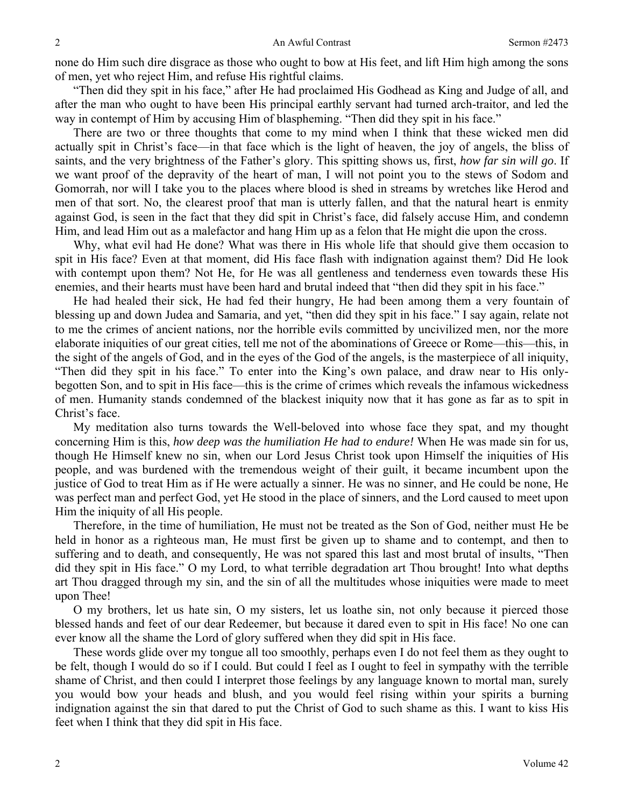none do Him such dire disgrace as those who ought to bow at His feet, and lift Him high among the sons of men, yet who reject Him, and refuse His rightful claims.

"Then did they spit in his face," after He had proclaimed His Godhead as King and Judge of all, and after the man who ought to have been His principal earthly servant had turned arch-traitor, and led the way in contempt of Him by accusing Him of blaspheming. "Then did they spit in his face."

There are two or three thoughts that come to my mind when I think that these wicked men did actually spit in Christ's face—in that face which is the light of heaven, the joy of angels, the bliss of saints, and the very brightness of the Father's glory. This spitting shows us, first, *how far sin will go*. If we want proof of the depravity of the heart of man, I will not point you to the stews of Sodom and Gomorrah, nor will I take you to the places where blood is shed in streams by wretches like Herod and men of that sort. No, the clearest proof that man is utterly fallen, and that the natural heart is enmity against God, is seen in the fact that they did spit in Christ's face, did falsely accuse Him, and condemn Him, and lead Him out as a malefactor and hang Him up as a felon that He might die upon the cross.

Why, what evil had He done? What was there in His whole life that should give them occasion to spit in His face? Even at that moment, did His face flash with indignation against them? Did He look with contempt upon them? Not He, for He was all gentleness and tenderness even towards these His enemies, and their hearts must have been hard and brutal indeed that "then did they spit in his face."

He had healed their sick, He had fed their hungry, He had been among them a very fountain of blessing up and down Judea and Samaria, and yet, "then did they spit in his face." I say again, relate not to me the crimes of ancient nations, nor the horrible evils committed by uncivilized men, nor the more elaborate iniquities of our great cities, tell me not of the abominations of Greece or Rome—this—this, in the sight of the angels of God, and in the eyes of the God of the angels, is the masterpiece of all iniquity, "Then did they spit in his face." To enter into the King's own palace, and draw near to His onlybegotten Son, and to spit in His face—this is the crime of crimes which reveals the infamous wickedness of men. Humanity stands condemned of the blackest iniquity now that it has gone as far as to spit in Christ's face.

My meditation also turns towards the Well-beloved into whose face they spat, and my thought concerning Him is this, *how deep was the humiliation He had to endure!* When He was made sin for us, though He Himself knew no sin, when our Lord Jesus Christ took upon Himself the iniquities of His people, and was burdened with the tremendous weight of their guilt, it became incumbent upon the justice of God to treat Him as if He were actually a sinner. He was no sinner, and He could be none, He was perfect man and perfect God, yet He stood in the place of sinners, and the Lord caused to meet upon Him the iniquity of all His people.

Therefore, in the time of humiliation, He must not be treated as the Son of God, neither must He be held in honor as a righteous man, He must first be given up to shame and to contempt, and then to suffering and to death, and consequently, He was not spared this last and most brutal of insults, "Then did they spit in His face." O my Lord, to what terrible degradation art Thou brought! Into what depths art Thou dragged through my sin, and the sin of all the multitudes whose iniquities were made to meet upon Thee!

O my brothers, let us hate sin, O my sisters, let us loathe sin, not only because it pierced those blessed hands and feet of our dear Redeemer, but because it dared even to spit in His face! No one can ever know all the shame the Lord of glory suffered when they did spit in His face.

These words glide over my tongue all too smoothly, perhaps even I do not feel them as they ought to be felt, though I would do so if I could. But could I feel as I ought to feel in sympathy with the terrible shame of Christ, and then could I interpret those feelings by any language known to mortal man, surely you would bow your heads and blush, and you would feel rising within your spirits a burning indignation against the sin that dared to put the Christ of God to such shame as this. I want to kiss His feet when I think that they did spit in His face.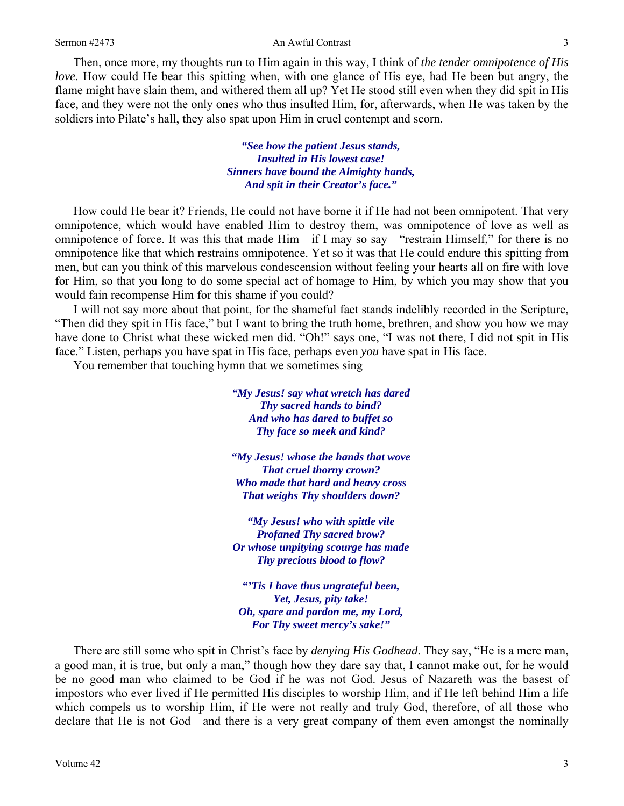Then, once more, my thoughts run to Him again in this way, I think of *the tender omnipotence of His love*. How could He bear this spitting when, with one glance of His eye, had He been but angry, the flame might have slain them, and withered them all up? Yet He stood still even when they did spit in His face, and they were not the only ones who thus insulted Him, for, afterwards, when He was taken by the soldiers into Pilate's hall, they also spat upon Him in cruel contempt and scorn.

> *"See how the patient Jesus stands, Insulted in His lowest case! Sinners have bound the Almighty hands, And spit in their Creator's face."*

How could He bear it? Friends, He could not have borne it if He had not been omnipotent. That very omnipotence, which would have enabled Him to destroy them, was omnipotence of love as well as omnipotence of force. It was this that made Him—if I may so say—"restrain Himself," for there is no omnipotence like that which restrains omnipotence. Yet so it was that He could endure this spitting from men, but can you think of this marvelous condescension without feeling your hearts all on fire with love for Him, so that you long to do some special act of homage to Him, by which you may show that you would fain recompense Him for this shame if you could?

I will not say more about that point, for the shameful fact stands indelibly recorded in the Scripture, "Then did they spit in His face," but I want to bring the truth home, brethren, and show you how we may have done to Christ what these wicked men did. "Oh!" says one, "I was not there, I did not spit in His face." Listen, perhaps you have spat in His face, perhaps even *you* have spat in His face.

You remember that touching hymn that we sometimes sing—

*"My Jesus! say what wretch has dared Thy sacred hands to bind? And who has dared to buffet so Thy face so meek and kind?* 

*"My Jesus! whose the hands that wove That cruel thorny crown? Who made that hard and heavy cross That weighs Thy shoulders down?* 

*"My Jesus! who with spittle vile Profaned Thy sacred brow? Or whose unpitying scourge has made Thy precious blood to flow?* 

*"'Tis I have thus ungrateful been, Yet, Jesus, pity take! Oh, spare and pardon me, my Lord, For Thy sweet mercy's sake!"* 

There are still some who spit in Christ's face by *denying His Godhead*. They say, "He is a mere man, a good man, it is true, but only a man," though how they dare say that, I cannot make out, for he would be no good man who claimed to be God if he was not God. Jesus of Nazareth was the basest of impostors who ever lived if He permitted His disciples to worship Him, and if He left behind Him a life which compels us to worship Him, if He were not really and truly God, therefore, of all those who declare that He is not God—and there is a very great company of them even amongst the nominally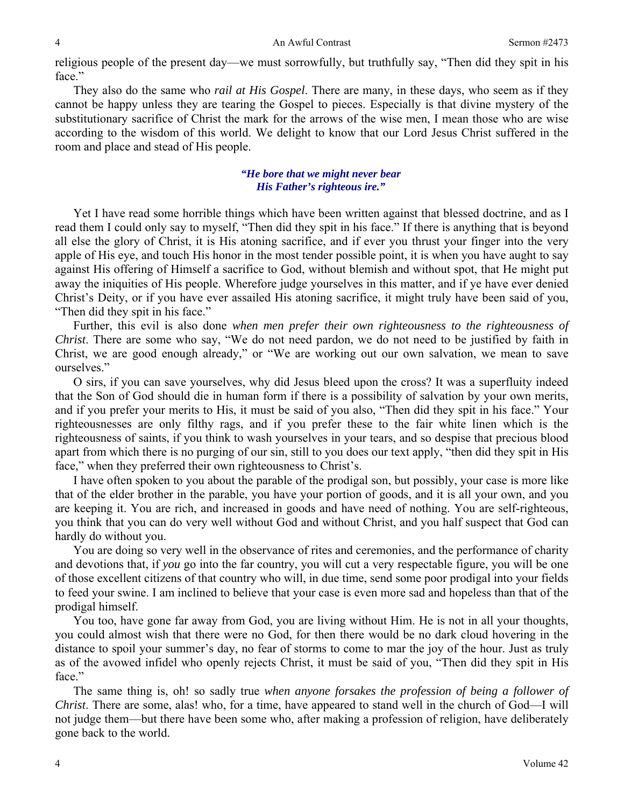religious people of the present day—we must sorrowfully, but truthfully say, "Then did they spit in his face."

They also do the same who *rail at His Gospel*. There are many, in these days, who seem as if they cannot be happy unless they are tearing the Gospel to pieces. Especially is that divine mystery of the substitutionary sacrifice of Christ the mark for the arrows of the wise men, I mean those who are wise according to the wisdom of this world. We delight to know that our Lord Jesus Christ suffered in the room and place and stead of His people.

### *"He bore that we might never bear His Father's righteous ire."*

Yet I have read some horrible things which have been written against that blessed doctrine, and as I read them I could only say to myself, "Then did they spit in his face." If there is anything that is beyond all else the glory of Christ, it is His atoning sacrifice, and if ever you thrust your finger into the very apple of His eye, and touch His honor in the most tender possible point, it is when you have aught to say against His offering of Himself a sacrifice to God, without blemish and without spot, that He might put away the iniquities of His people. Wherefore judge yourselves in this matter, and if ye have ever denied Christ's Deity, or if you have ever assailed His atoning sacrifice, it might truly have been said of you, "Then did they spit in his face."

Further, this evil is also done *when men prefer their own righteousness to the righteousness of Christ*. There are some who say, "We do not need pardon, we do not need to be justified by faith in Christ, we are good enough already," or "We are working out our own salvation, we mean to save ourselves."

O sirs, if you can save yourselves, why did Jesus bleed upon the cross? It was a superfluity indeed that the Son of God should die in human form if there is a possibility of salvation by your own merits, and if you prefer your merits to His, it must be said of you also, "Then did they spit in his face." Your righteousnesses are only filthy rags, and if you prefer these to the fair white linen which is the righteousness of saints, if you think to wash yourselves in your tears, and so despise that precious blood apart from which there is no purging of our sin, still to you does our text apply, "then did they spit in His face," when they preferred their own righteousness to Christ's.

I have often spoken to you about the parable of the prodigal son, but possibly, your case is more like that of the elder brother in the parable, you have your portion of goods, and it is all your own, and you are keeping it. You are rich, and increased in goods and have need of nothing. You are self-righteous, you think that you can do very well without God and without Christ, and you half suspect that God can hardly do without you.

You are doing so very well in the observance of rites and ceremonies, and the performance of charity and devotions that, if *you* go into the far country, you will cut a very respectable figure, you will be one of those excellent citizens of that country who will, in due time, send some poor prodigal into your fields to feed your swine. I am inclined to believe that your case is even more sad and hopeless than that of the prodigal himself.

You too, have gone far away from God, you are living without Him. He is not in all your thoughts, you could almost wish that there were no God, for then there would be no dark cloud hovering in the distance to spoil your summer's day, no fear of storms to come to mar the joy of the hour. Just as truly as of the avowed infidel who openly rejects Christ, it must be said of you, "Then did they spit in His face."

The same thing is, oh! so sadly true *when anyone forsakes the profession of being a follower of Christ*. There are some, alas! who, for a time, have appeared to stand well in the church of God—I will not judge them—but there have been some who, after making a profession of religion, have deliberately gone back to the world.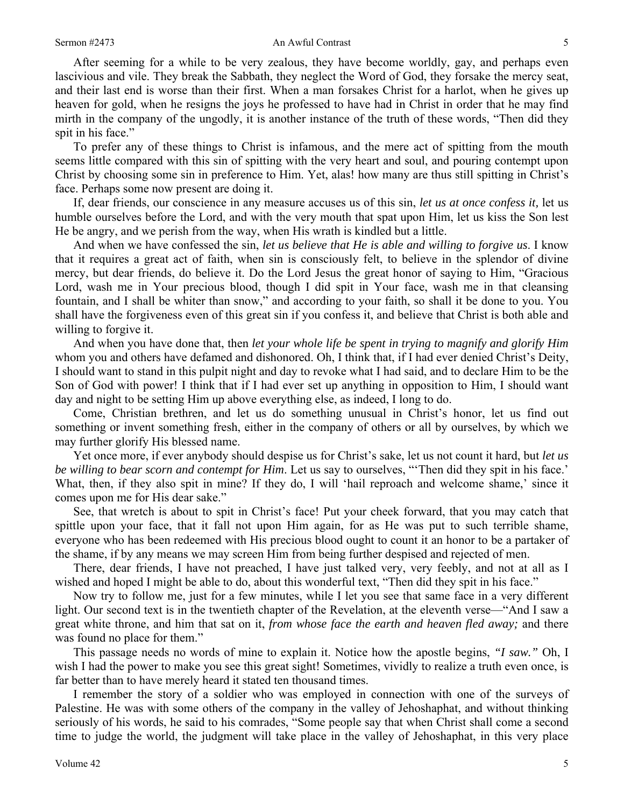#### Sermon #2473 An Awful Contrast 5

After seeming for a while to be very zealous, they have become worldly, gay, and perhaps even lascivious and vile. They break the Sabbath, they neglect the Word of God, they forsake the mercy seat, and their last end is worse than their first. When a man forsakes Christ for a harlot, when he gives up heaven for gold, when he resigns the joys he professed to have had in Christ in order that he may find mirth in the company of the ungodly, it is another instance of the truth of these words, "Then did they spit in his face."

To prefer any of these things to Christ is infamous, and the mere act of spitting from the mouth seems little compared with this sin of spitting with the very heart and soul, and pouring contempt upon Christ by choosing some sin in preference to Him. Yet, alas! how many are thus still spitting in Christ's face. Perhaps some now present are doing it.

If, dear friends, our conscience in any measure accuses us of this sin, *let us at once confess it,* let us humble ourselves before the Lord, and with the very mouth that spat upon Him, let us kiss the Son lest He be angry, and we perish from the way, when His wrath is kindled but a little.

And when we have confessed the sin, *let us believe that He is able and willing to forgive us*. I know that it requires a great act of faith, when sin is consciously felt, to believe in the splendor of divine mercy, but dear friends, do believe it. Do the Lord Jesus the great honor of saying to Him, "Gracious Lord, wash me in Your precious blood, though I did spit in Your face, wash me in that cleansing fountain, and I shall be whiter than snow," and according to your faith, so shall it be done to you. You shall have the forgiveness even of this great sin if you confess it, and believe that Christ is both able and willing to forgive it.

And when you have done that, then *let your whole life be spent in trying to magnify and glorify Him*  whom you and others have defamed and dishonored. Oh, I think that, if I had ever denied Christ's Deity, I should want to stand in this pulpit night and day to revoke what I had said, and to declare Him to be the Son of God with power! I think that if I had ever set up anything in opposition to Him, I should want day and night to be setting Him up above everything else, as indeed, I long to do.

Come, Christian brethren, and let us do something unusual in Christ's honor, let us find out something or invent something fresh, either in the company of others or all by ourselves, by which we may further glorify His blessed name.

Yet once more, if ever anybody should despise us for Christ's sake, let us not count it hard, but *let us be willing to bear scorn and contempt for Him*. Let us say to ourselves, "'Then did they spit in his face.' What, then, if they also spit in mine? If they do, I will 'hail reproach and welcome shame,' since it comes upon me for His dear sake."

See, that wretch is about to spit in Christ's face! Put your cheek forward, that you may catch that spittle upon your face, that it fall not upon Him again, for as He was put to such terrible shame, everyone who has been redeemed with His precious blood ought to count it an honor to be a partaker of the shame, if by any means we may screen Him from being further despised and rejected of men.

There, dear friends, I have not preached, I have just talked very, very feebly, and not at all as I wished and hoped I might be able to do, about this wonderful text, "Then did they spit in his face."

Now try to follow me, just for a few minutes, while I let you see that same face in a very different light. Our second text is in the twentieth chapter of the Revelation, at the eleventh verse—"And I saw a great white throne, and him that sat on it, *from whose face the earth and heaven fled away;* and there was found no place for them."

This passage needs no words of mine to explain it. Notice how the apostle begins, *"I saw."* Oh, I wish I had the power to make you see this great sight! Sometimes, vividly to realize a truth even once, is far better than to have merely heard it stated ten thousand times.

I remember the story of a soldier who was employed in connection with one of the surveys of Palestine. He was with some others of the company in the valley of Jehoshaphat, and without thinking seriously of his words, he said to his comrades, "Some people say that when Christ shall come a second time to judge the world, the judgment will take place in the valley of Jehoshaphat, in this very place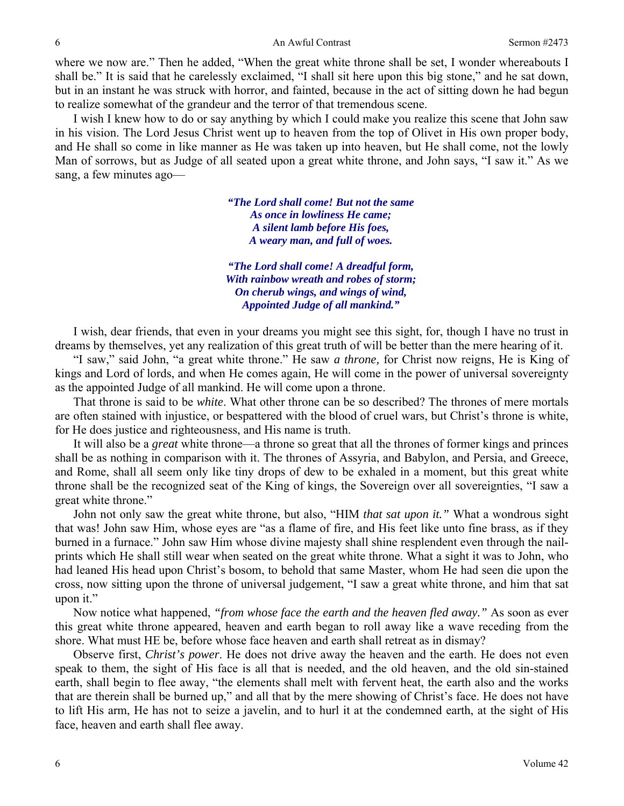6 An Awful Contrast Sermon #2473

where we now are." Then he added, "When the great white throne shall be set, I wonder whereabouts I shall be." It is said that he carelessly exclaimed, "I shall sit here upon this big stone," and he sat down, but in an instant he was struck with horror, and fainted, because in the act of sitting down he had begun to realize somewhat of the grandeur and the terror of that tremendous scene.

I wish I knew how to do or say anything by which I could make you realize this scene that John saw in his vision. The Lord Jesus Christ went up to heaven from the top of Olivet in His own proper body, and He shall so come in like manner as He was taken up into heaven, but He shall come, not the lowly Man of sorrows, but as Judge of all seated upon a great white throne, and John says, "I saw it." As we sang, a few minutes ago—

> *"The Lord shall come! But not the same As once in lowliness He came; A silent lamb before His foes, A weary man, and full of woes.*

> *"The Lord shall come! A dreadful form, With rainbow wreath and robes of storm; On cherub wings, and wings of wind, Appointed Judge of all mankind."*

I wish, dear friends, that even in your dreams you might see this sight, for, though I have no trust in dreams by themselves, yet any realization of this great truth of will be better than the mere hearing of it.

"I saw," said John, "a great white throne." He saw *a throne,* for Christ now reigns, He is King of kings and Lord of lords, and when He comes again, He will come in the power of universal sovereignty as the appointed Judge of all mankind. He will come upon a throne.

That throne is said to be *white*. What other throne can be so described? The thrones of mere mortals are often stained with injustice, or bespattered with the blood of cruel wars, but Christ's throne is white, for He does justice and righteousness, and His name is truth.

It will also be a *great* white throne—a throne so great that all the thrones of former kings and princes shall be as nothing in comparison with it. The thrones of Assyria, and Babylon, and Persia, and Greece, and Rome, shall all seem only like tiny drops of dew to be exhaled in a moment, but this great white throne shall be the recognized seat of the King of kings, the Sovereign over all sovereignties, "I saw a great white throne."

John not only saw the great white throne, but also, "HIM *that sat upon it."* What a wondrous sight that was! John saw Him, whose eyes are "as a flame of fire, and His feet like unto fine brass, as if they burned in a furnace." John saw Him whose divine majesty shall shine resplendent even through the nailprints which He shall still wear when seated on the great white throne. What a sight it was to John, who had leaned His head upon Christ's bosom, to behold that same Master, whom He had seen die upon the cross, now sitting upon the throne of universal judgement, "I saw a great white throne, and him that sat upon it."

Now notice what happened, *"from whose face the earth and the heaven fled away."* As soon as ever this great white throne appeared, heaven and earth began to roll away like a wave receding from the shore. What must HE be, before whose face heaven and earth shall retreat as in dismay?

Observe first, *Christ's power*. He does not drive away the heaven and the earth. He does not even speak to them, the sight of His face is all that is needed, and the old heaven, and the old sin-stained earth, shall begin to flee away, "the elements shall melt with fervent heat, the earth also and the works that are therein shall be burned up," and all that by the mere showing of Christ's face. He does not have to lift His arm, He has not to seize a javelin, and to hurl it at the condemned earth, at the sight of His face, heaven and earth shall flee away.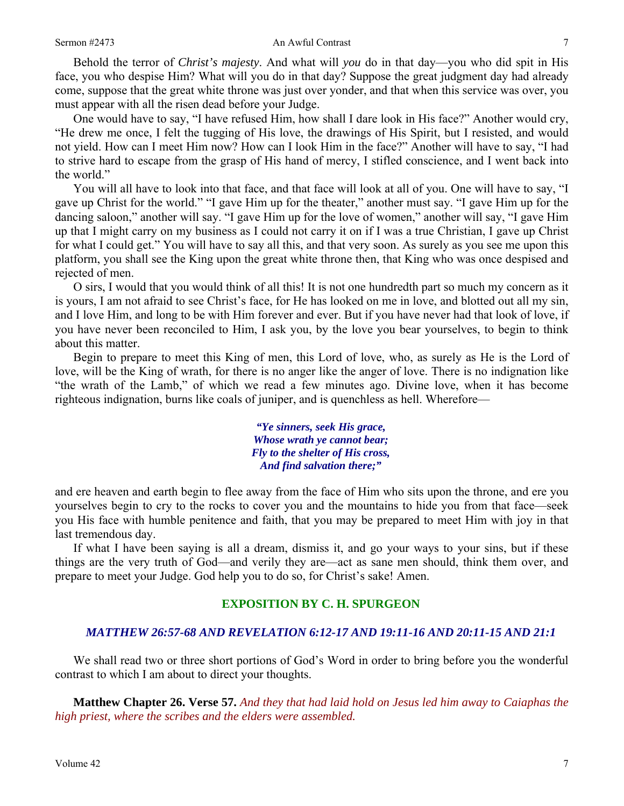Behold the terror of *Christ's majesty*. And what will *you* do in that day—you who did spit in His face, you who despise Him? What will you do in that day? Suppose the great judgment day had already come, suppose that the great white throne was just over yonder, and that when this service was over, you must appear with all the risen dead before your Judge.

One would have to say, "I have refused Him, how shall I dare look in His face?" Another would cry, "He drew me once, I felt the tugging of His love, the drawings of His Spirit, but I resisted, and would not yield. How can I meet Him now? How can I look Him in the face?" Another will have to say, "I had to strive hard to escape from the grasp of His hand of mercy, I stifled conscience, and I went back into the world."

You will all have to look into that face, and that face will look at all of you. One will have to say, "I gave up Christ for the world." "I gave Him up for the theater," another must say. "I gave Him up for the dancing saloon," another will say. "I gave Him up for the love of women," another will say, "I gave Him up that I might carry on my business as I could not carry it on if I was a true Christian, I gave up Christ for what I could get." You will have to say all this, and that very soon. As surely as you see me upon this platform, you shall see the King upon the great white throne then, that King who was once despised and rejected of men.

O sirs, I would that you would think of all this! It is not one hundredth part so much my concern as it is yours, I am not afraid to see Christ's face, for He has looked on me in love, and blotted out all my sin, and I love Him, and long to be with Him forever and ever. But if you have never had that look of love, if you have never been reconciled to Him, I ask you, by the love you bear yourselves, to begin to think about this matter.

Begin to prepare to meet this King of men, this Lord of love, who, as surely as He is the Lord of love, will be the King of wrath, for there is no anger like the anger of love. There is no indignation like "the wrath of the Lamb," of which we read a few minutes ago. Divine love, when it has become righteous indignation, burns like coals of juniper, and is quenchless as hell. Wherefore—

> *"Ye sinners, seek His grace, Whose wrath ye cannot bear; Fly to the shelter of His cross, And find salvation there;"*

and ere heaven and earth begin to flee away from the face of Him who sits upon the throne, and ere you yourselves begin to cry to the rocks to cover you and the mountains to hide you from that face—seek you His face with humble penitence and faith, that you may be prepared to meet Him with joy in that last tremendous day.

If what I have been saying is all a dream, dismiss it, and go your ways to your sins, but if these things are the very truth of God—and verily they are—act as sane men should, think them over, and prepare to meet your Judge. God help you to do so, for Christ's sake! Amen.

## **EXPOSITION BY C. H. SPURGEON**

### *MATTHEW 26:57-68 AND REVELATION 6:12-17 AND 19:11-16 AND 20:11-15 AND 21:1*

We shall read two or three short portions of God's Word in order to bring before you the wonderful contrast to which I am about to direct your thoughts.

**Matthew Chapter 26. Verse 57.** *And they that had laid hold on Jesus led him away to Caiaphas the high priest, where the scribes and the elders were assembled.*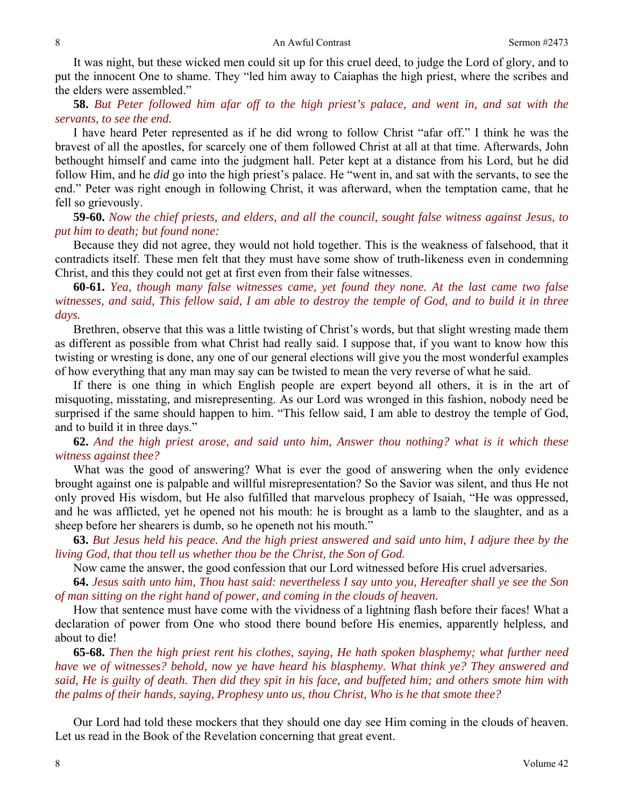It was night, but these wicked men could sit up for this cruel deed, to judge the Lord of glory, and to put the innocent One to shame. They "led him away to Caiaphas the high priest, where the scribes and the elders were assembled."

**58.** *But Peter followed him afar off to the high priest's palace, and went in, and sat with the servants, to see the end.*

I have heard Peter represented as if he did wrong to follow Christ "afar off." I think he was the bravest of all the apostles, for scarcely one of them followed Christ at all at that time. Afterwards, John bethought himself and came into the judgment hall. Peter kept at a distance from his Lord, but he did follow Him, and he *did* go into the high priest's palace. He "went in, and sat with the servants, to see the end." Peter was right enough in following Christ, it was afterward, when the temptation came, that he fell so grievously.

**59-60.** *Now the chief priests, and elders, and all the council, sought false witness against Jesus, to put him to death; but found none:* 

Because they did not agree, they would not hold together. This is the weakness of falsehood, that it contradicts itself. These men felt that they must have some show of truth-likeness even in condemning Christ, and this they could not get at first even from their false witnesses.

**60-61.** *Yea, though many false witnesses came, yet found they none. At the last came two false witnesses, and said, This fellow said, I am able to destroy the temple of God, and to build it in three days.*

Brethren, observe that this was a little twisting of Christ's words, but that slight wresting made them as different as possible from what Christ had really said. I suppose that, if you want to know how this twisting or wresting is done, any one of our general elections will give you the most wonderful examples of how everything that any man may say can be twisted to mean the very reverse of what he said.

If there is one thing in which English people are expert beyond all others, it is in the art of misquoting, misstating, and misrepresenting. As our Lord was wronged in this fashion, nobody need be surprised if the same should happen to him. "This fellow said, I am able to destroy the temple of God, and to build it in three days."

**62.** *And the high priest arose, and said unto him, Answer thou nothing? what is it which these witness against thee?*

What was the good of answering? What is ever the good of answering when the only evidence brought against one is palpable and willful misrepresentation? So the Savior was silent, and thus He not only proved His wisdom, but He also fulfilled that marvelous prophecy of Isaiah, "He was oppressed, and he was afflicted, yet he opened not his mouth: he is brought as a lamb to the slaughter, and as a sheep before her shearers is dumb, so he openeth not his mouth."

**63.** *But Jesus held his peace. And the high priest answered and said unto him, I adjure thee by the living God, that thou tell us whether thou be the Christ, the Son of God.*

Now came the answer, the good confession that our Lord witnessed before His cruel adversaries.

**64.** *Jesus saith unto him, Thou hast said: nevertheless I say unto you, Hereafter shall ye see the Son of man sitting on the right hand of power, and coming in the clouds of heaven.*

How that sentence must have come with the vividness of a lightning flash before their faces! What a declaration of power from One who stood there bound before His enemies, apparently helpless, and about to die!

**65-68.** *Then the high priest rent his clothes, saying, He hath spoken blasphemy; what further need have we of witnesses? behold, now ye have heard his blasphemy. What think ye? They answered and said, He is guilty of death. Then did they spit in his face, and buffeted him; and others smote him with the palms of their hands, saying, Prophesy unto us, thou Christ, Who is he that smote thee?* 

Our Lord had told these mockers that they should one day see Him coming in the clouds of heaven. Let us read in the Book of the Revelation concerning that great event.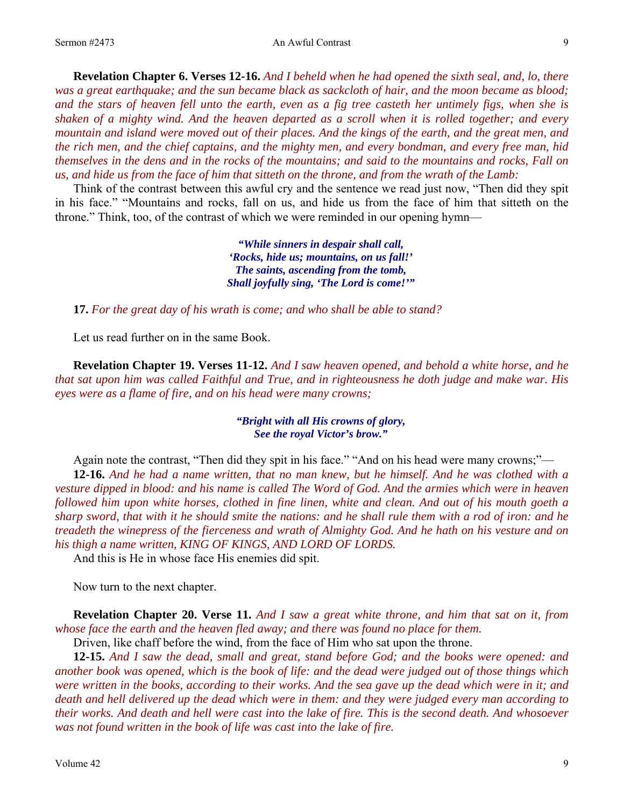**Revelation Chapter 6. Verses 12-16.** *And I beheld when he had opened the sixth seal, and, lo, there was a great earthquake; and the sun became black as sackcloth of hair, and the moon became as blood; and the stars of heaven fell unto the earth, even as a fig tree casteth her untimely figs, when she is shaken of a mighty wind. And the heaven departed as a scroll when it is rolled together; and every mountain and island were moved out of their places. And the kings of the earth, and the great men, and the rich men, and the chief captains, and the mighty men, and every bondman, and every free man, hid themselves in the dens and in the rocks of the mountains; and said to the mountains and rocks, Fall on us, and hide us from the face of him that sitteth on the throne, and from the wrath of the Lamb:*

Think of the contrast between this awful cry and the sentence we read just now, "Then did they spit in his face." "Mountains and rocks, fall on us, and hide us from the face of him that sitteth on the throne." Think, too, of the contrast of which we were reminded in our opening hymn—

> *"While sinners in despair shall call, 'Rocks, hide us; mountains, on us fall!' The saints, ascending from the tomb, Shall joyfully sing, 'The Lord is come!'"*

**17.** *For the great day of his wrath is come; and who shall be able to stand?* 

Let us read further on in the same Book.

**Revelation Chapter 19. Verses 11-12.** *And I saw heaven opened, and behold a white horse, and he that sat upon him was called Faithful and True, and in righteousness he doth judge and make war. His eyes were as a flame of fire, and on his head were many crowns;* 

> *"Bright with all His crowns of glory, See the royal Victor's brow."*

Again note the contrast, "Then did they spit in his face." "And on his head were many crowns;"—

**12-16.** *And he had a name written, that no man knew, but he himself. And he was clothed with a vesture dipped in blood: and his name is called The Word of God. And the armies which were in heaven*  followed him upon white horses, clothed in fine linen, white and clean. And out of his mouth goeth a *sharp sword, that with it he should smite the nations: and he shall rule them with a rod of iron: and he treadeth the winepress of the fierceness and wrath of Almighty God. And he hath on his vesture and on his thigh a name written, KING OF KINGS, AND LORD OF LORDS.*

And this is He in whose face His enemies did spit.

Now turn to the next chapter.

**Revelation Chapter 20. Verse 11.** *And I saw a great white throne, and him that sat on it, from whose face the earth and the heaven fled away; and there was found no place for them.*

Driven, like chaff before the wind, from the face of Him who sat upon the throne.

**12-15.** *And I saw the dead, small and great, stand before God; and the books were opened: and another book was opened, which is the book of life: and the dead were judged out of those things which were written in the books, according to their works. And the sea gave up the dead which were in it; and death and hell delivered up the dead which were in them: and they were judged every man according to their works. And death and hell were cast into the lake of fire. This is the second death. And whosoever was not found written in the book of life was cast into the lake of fire.*